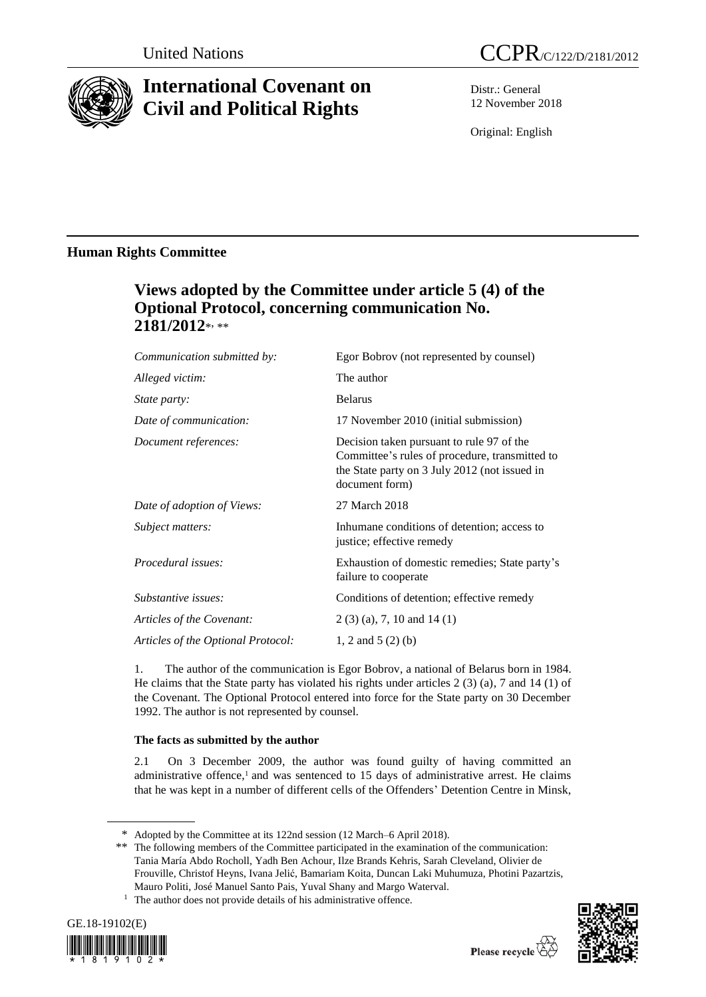

# **International Covenant on Civil and Political Rights**

Distr.: General 12 November 2018

Original: English

### **Human Rights Committee**

## **Views adopted by the Committee under article 5 (4) of the Optional Protocol, concerning communication No. 2181/2012**\* , \*\*

| Communication submitted by:        | Egor Bobrov (not represented by counsel)                                                                                                                       |
|------------------------------------|----------------------------------------------------------------------------------------------------------------------------------------------------------------|
| Alleged victim:                    | The author                                                                                                                                                     |
| <i>State party:</i>                | <b>Belarus</b>                                                                                                                                                 |
| Date of communication:             | 17 November 2010 (initial submission)                                                                                                                          |
| Document references:               | Decision taken pursuant to rule 97 of the<br>Committee's rules of procedure, transmitted to<br>the State party on 3 July 2012 (not issued in<br>document form) |
| Date of adoption of Views:         | 27 March 2018                                                                                                                                                  |
| Subject matters:                   | Inhumane conditions of detention; access to<br>justice; effective remedy                                                                                       |
| Procedural issues:                 | Exhaustion of domestic remedies; State party's<br>failure to cooperate                                                                                         |
| Substantive issues:                | Conditions of detention; effective remedy                                                                                                                      |
| Articles of the Covenant:          | $2(3)(a)$ , 7, 10 and 14(1)                                                                                                                                    |
| Articles of the Optional Protocol: | 1, 2 and 5 $(2)$ (b)                                                                                                                                           |

1. The author of the communication is Egor Bobrov, a national of Belarus born in 1984. He claims that the State party has violated his rights under articles 2 (3) (a), 7 and 14 (1) of the Covenant. The Optional Protocol entered into force for the State party on 30 December 1992. The author is not represented by counsel.

### **The facts as submitted by the author**

2.1 On 3 December 2009, the author was found guilty of having committed an administrative offence, <sup>1</sup> and was sentenced to 15 days of administrative arrest. He claims that he was kept in a number of different cells of the Offenders' Detention Centre in Minsk,

<sup>&</sup>lt;sup>1</sup> The author does not provide details of his administrative offence.





<sup>\*</sup> Adopted by the Committee at its 122nd session (12 March–6 April 2018).

<sup>\*\*</sup> The following members of the Committee participated in the examination of the communication: Tania María Abdo Rocholl, Yadh Ben Achour, Ilze Brands Kehris, Sarah Cleveland, Olivier de Frouville, Christof Heyns, Ivana Jelić, Bamariam Koita, Duncan Laki Muhumuza, Photini Pazartzis, Mauro Politi, José Manuel Santo Pais, Yuval Shany and Margo Waterval.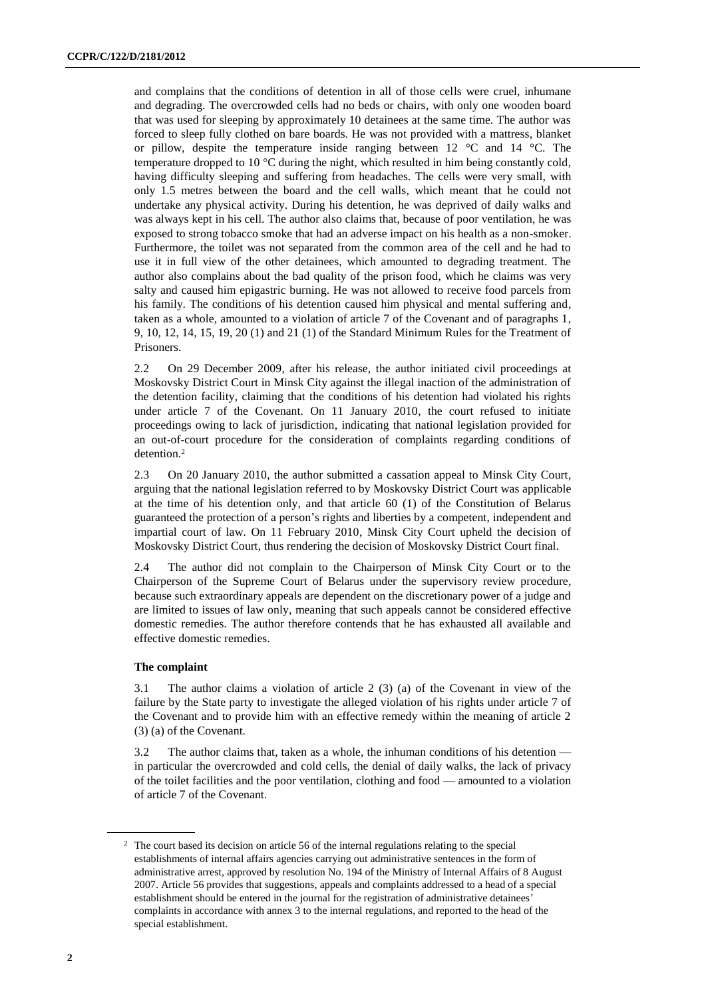and complains that the conditions of detention in all of those cells were cruel, inhumane and degrading. The overcrowded cells had no beds or chairs, with only one wooden board that was used for sleeping by approximately 10 detainees at the same time. The author was forced to sleep fully clothed on bare boards. He was not provided with a mattress, blanket or pillow, despite the temperature inside ranging between 12 °C and 14 °C. The temperature dropped to 10 °C during the night, which resulted in him being constantly cold, having difficulty sleeping and suffering from headaches. The cells were very small, with only 1.5 metres between the board and the cell walls, which meant that he could not undertake any physical activity. During his detention, he was deprived of daily walks and was always kept in his cell. The author also claims that, because of poor ventilation, he was exposed to strong tobacco smoke that had an adverse impact on his health as a non-smoker. Furthermore, the toilet was not separated from the common area of the cell and he had to use it in full view of the other detainees, which amounted to degrading treatment. The author also complains about the bad quality of the prison food, which he claims was very salty and caused him epigastric burning. He was not allowed to receive food parcels from his family. The conditions of his detention caused him physical and mental suffering and, taken as a whole, amounted to a violation of article 7 of the Covenant and of paragraphs 1, 9, 10, 12, 14, 15, 19, 20 (1) and 21 (1) of the Standard Minimum Rules for the Treatment of Prisoners.

2.2 On 29 December 2009, after his release, the author initiated civil proceedings at Moskovsky District Court in Minsk City against the illegal inaction of the administration of the detention facility, claiming that the conditions of his detention had violated his rights under article 7 of the Covenant. On 11 January 2010, the court refused to initiate proceedings owing to lack of jurisdiction, indicating that national legislation provided for an out-of-court procedure for the consideration of complaints regarding conditions of detention.<sup>2</sup>

2.3 On 20 January 2010, the author submitted a cassation appeal to Minsk City Court, arguing that the national legislation referred to by Moskovsky District Court was applicable at the time of his detention only, and that article 60 (1) of the Constitution of Belarus guaranteed the protection of a person's rights and liberties by a competent, independent and impartial court of law. On 11 February 2010, Minsk City Court upheld the decision of Moskovsky District Court, thus rendering the decision of Moskovsky District Court final.

2.4 The author did not complain to the Chairperson of Minsk City Court or to the Chairperson of the Supreme Court of Belarus under the supervisory review procedure, because such extraordinary appeals are dependent on the discretionary power of a judge and are limited to issues of law only, meaning that such appeals cannot be considered effective domestic remedies. The author therefore contends that he has exhausted all available and effective domestic remedies.

#### **The complaint**

3.1 The author claims a violation of article 2 (3) (a) of the Covenant in view of the failure by the State party to investigate the alleged violation of his rights under article 7 of the Covenant and to provide him with an effective remedy within the meaning of article 2 (3) (a) of the Covenant.

3.2 The author claims that, taken as a whole, the inhuman conditions of his detention in particular the overcrowded and cold cells, the denial of daily walks, the lack of privacy of the toilet facilities and the poor ventilation, clothing and food — amounted to a violation of article 7 of the Covenant.

<sup>&</sup>lt;sup>2</sup> The court based its decision on article 56 of the internal regulations relating to the special establishments of internal affairs agencies carrying out administrative sentences in the form of administrative arrest, approved by resolution No. 194 of the Ministry of Internal Affairs of 8 August 2007. Article 56 provides that suggestions, appeals and complaints addressed to a head of a special establishment should be entered in the journal for the registration of administrative detainees' complaints in accordance with annex 3 to the internal regulations, and reported to the head of the special establishment.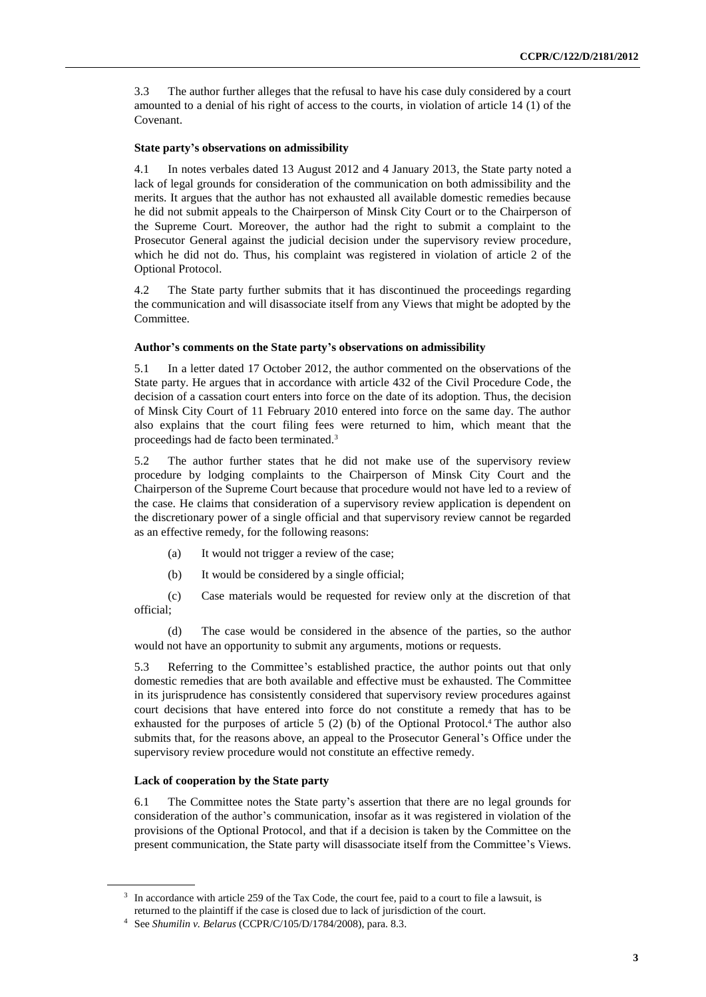3.3 The author further alleges that the refusal to have his case duly considered by a court amounted to a denial of his right of access to the courts, in violation of article 14 (1) of the Covenant.

#### **State party's observations on admissibility**

4.1 In notes verbales dated 13 August 2012 and 4 January 2013, the State party noted a lack of legal grounds for consideration of the communication on both admissibility and the merits. It argues that the author has not exhausted all available domestic remedies because he did not submit appeals to the Chairperson of Minsk City Court or to the Chairperson of the Supreme Court. Moreover, the author had the right to submit a complaint to the Prosecutor General against the judicial decision under the supervisory review procedure, which he did not do. Thus, his complaint was registered in violation of article 2 of the Optional Protocol.

4.2 The State party further submits that it has discontinued the proceedings regarding the communication and will disassociate itself from any Views that might be adopted by the Committee.

#### **Author's comments on the State party's observations on admissibility**

5.1 In a letter dated 17 October 2012, the author commented on the observations of the State party. He argues that in accordance with article 432 of the Civil Procedure Code, the decision of a cassation court enters into force on the date of its adoption. Thus, the decision of Minsk City Court of 11 February 2010 entered into force on the same day. The author also explains that the court filing fees were returned to him, which meant that the proceedings had de facto been terminated.<sup>3</sup>

5.2 The author further states that he did not make use of the supervisory review procedure by lodging complaints to the Chairperson of Minsk City Court and the Chairperson of the Supreme Court because that procedure would not have led to a review of the case. He claims that consideration of a supervisory review application is dependent on the discretionary power of a single official and that supervisory review cannot be regarded as an effective remedy, for the following reasons:

- (a) It would not trigger a review of the case;
- (b) It would be considered by a single official;

(c) Case materials would be requested for review only at the discretion of that official;

(d) The case would be considered in the absence of the parties, so the author would not have an opportunity to submit any arguments, motions or requests.

5.3 Referring to the Committee's established practice, the author points out that only domestic remedies that are both available and effective must be exhausted. The Committee in its jurisprudence has consistently considered that supervisory review procedures against court decisions that have entered into force do not constitute a remedy that has to be exhausted for the purposes of article 5 (2) (b) of the Optional Protocol.<sup>4</sup> The author also submits that, for the reasons above, an appeal to the Prosecutor General's Office under the supervisory review procedure would not constitute an effective remedy.

#### **Lack of cooperation by the State party**

6.1 The Committee notes the State party's assertion that there are no legal grounds for consideration of the author's communication, insofar as it was registered in violation of the provisions of the Optional Protocol, and that if a decision is taken by the Committee on the present communication, the State party will disassociate itself from the Committee's Views.

<sup>&</sup>lt;sup>3</sup> In accordance with article 259 of the Tax Code, the court fee, paid to a court to file a lawsuit, is returned to the plaintiff if the case is closed due to lack of jurisdiction of the court.

<sup>4</sup> See *Shumilin v. Belarus* (CCPR/C/105/D/1784/2008), para. 8.3.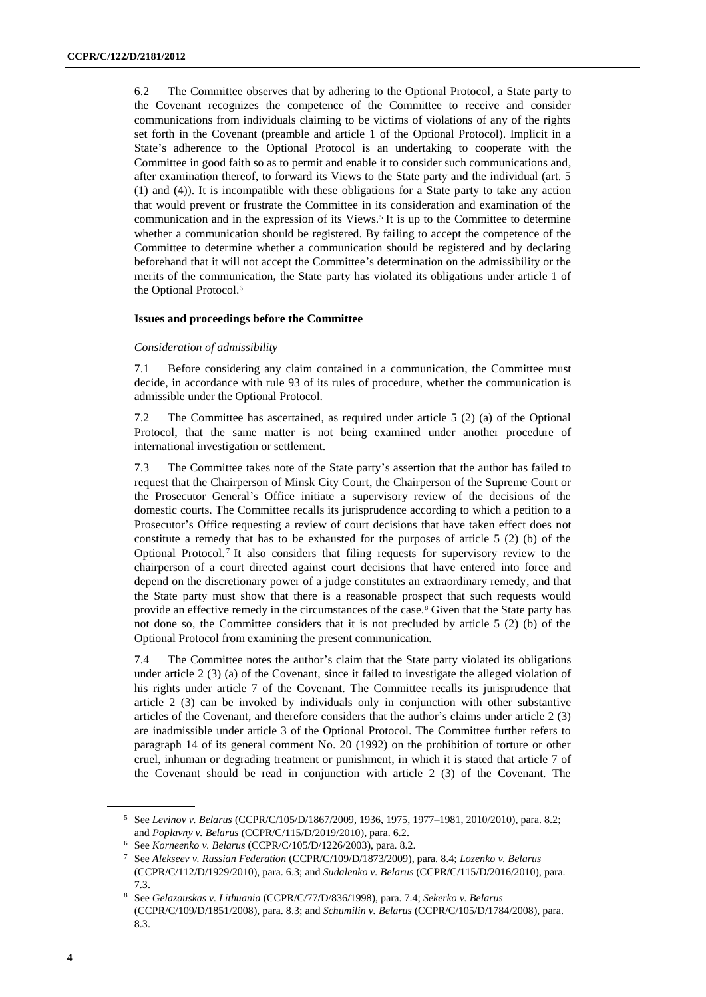6.2 The Committee observes that by adhering to the Optional Protocol, a State party to the Covenant recognizes the competence of the Committee to receive and consider communications from individuals claiming to be victims of violations of any of the rights set forth in the Covenant (preamble and article 1 of the Optional Protocol). Implicit in a State's adherence to the Optional Protocol is an undertaking to cooperate with the Committee in good faith so as to permit and enable it to consider such communications and, after examination thereof, to forward its Views to the State party and the individual (art. 5 (1) and (4)). It is incompatible with these obligations for a State party to take any action that would prevent or frustrate the Committee in its consideration and examination of the communication and in the expression of its Views.<sup>5</sup> It is up to the Committee to determine whether a communication should be registered. By failing to accept the competence of the Committee to determine whether a communication should be registered and by declaring beforehand that it will not accept the Committee's determination on the admissibility or the merits of the communication, the State party has violated its obligations under article 1 of the Optional Protocol.<sup>6</sup>

#### **Issues and proceedings before the Committee**

#### *Consideration of admissibility*

7.1 Before considering any claim contained in a communication, the Committee must decide, in accordance with rule 93 of its rules of procedure, whether the communication is admissible under the Optional Protocol.

7.2 The Committee has ascertained, as required under article 5 (2) (a) of the Optional Protocol, that the same matter is not being examined under another procedure of international investigation or settlement.

7.3 The Committee takes note of the State party's assertion that the author has failed to request that the Chairperson of Minsk City Court, the Chairperson of the Supreme Court or the Prosecutor General's Office initiate a supervisory review of the decisions of the domestic courts. The Committee recalls its jurisprudence according to which a petition to a Prosecutor's Office requesting a review of court decisions that have taken effect does not constitute a remedy that has to be exhausted for the purposes of article 5 (2) (b) of the Optional Protocol.<sup>7</sup> It also considers that filing requests for supervisory review to the chairperson of a court directed against court decisions that have entered into force and depend on the discretionary power of a judge constitutes an extraordinary remedy, and that the State party must show that there is a reasonable prospect that such requests would provide an effective remedy in the circumstances of the case.<sup>8</sup> Given that the State party has not done so, the Committee considers that it is not precluded by article 5 (2) (b) of the Optional Protocol from examining the present communication.

7.4 The Committee notes the author's claim that the State party violated its obligations under article 2 (3) (a) of the Covenant, since it failed to investigate the alleged violation of his rights under article 7 of the Covenant. The Committee recalls its jurisprudence that article 2 (3) can be invoked by individuals only in conjunction with other substantive articles of the Covenant, and therefore considers that the author's claims under article 2 (3) are inadmissible under article 3 of the Optional Protocol. The Committee further refers to paragraph 14 of its general comment No. 20 (1992) on the prohibition of torture or other cruel, inhuman or degrading treatment or punishment, in which it is stated that article 7 of the Covenant should be read in conjunction with article 2 (3) of the Covenant. The

<sup>5</sup> See *Levinov v. Belarus* (CCPR/C/105/D/1867/2009, 1936, 1975, 1977–1981, 2010/2010), para. 8.2; and *Poplavny v. Belarus* (CCPR/C/115/D/2019/2010), para. 6.2.

<sup>6</sup> See *Korneenko v. Belarus* (CCPR/C/105/D/1226/2003), para. 8.2.

<sup>7</sup> See *Alekseev v. Russian Federation* (CCPR/C/109/D/1873/2009), para. 8.4; *Lozenko v. Belarus* (CCPR/C/112/D/1929/2010), para. 6.3; and *Sudalenko v. Belarus* (CCPR/C/115/D/2016/2010), para. 7.3.

<sup>8</sup> See *Gelazauskas v. Lithuania* (CCPR/C/77/D/836/1998), para. 7.4; *Sekerko v. Belarus* (CCPR/C/109/D/1851/2008), para. 8.3; and *Schumilin v. Belarus* (CCPR/C/105/D/1784/2008), para. 8.3.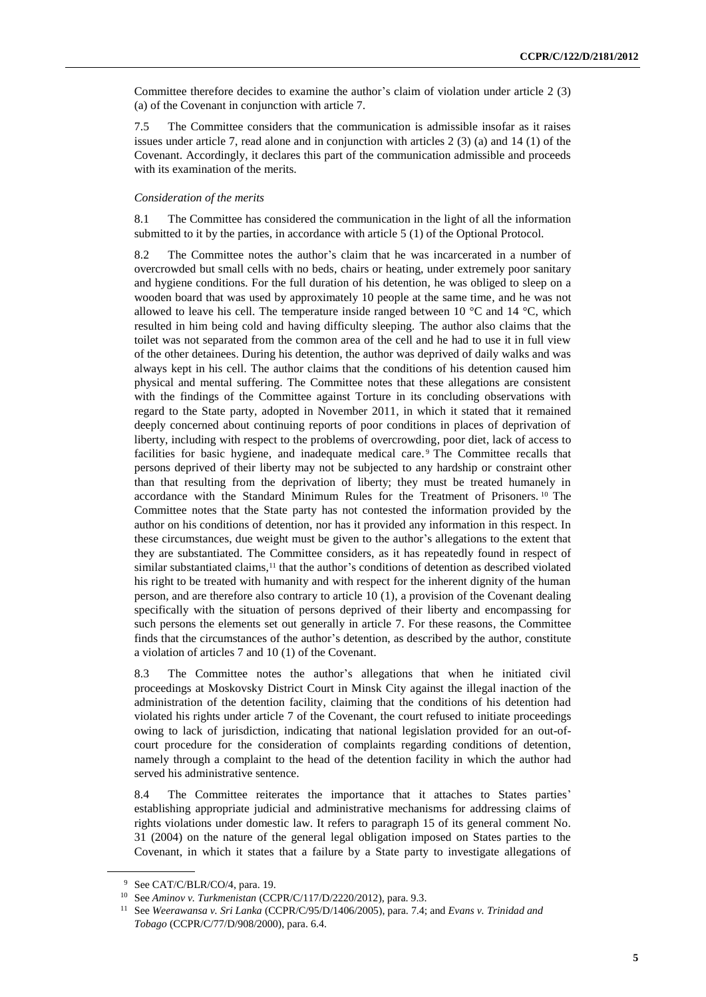Committee therefore decides to examine the author's claim of violation under article 2 (3) (a) of the Covenant in conjunction with article 7.

7.5 The Committee considers that the communication is admissible insofar as it raises issues under article 7, read alone and in conjunction with articles 2 (3) (a) and 14 (1) of the Covenant. Accordingly, it declares this part of the communication admissible and proceeds with its examination of the merits.

#### *Consideration of the merits*

8.1 The Committee has considered the communication in the light of all the information submitted to it by the parties, in accordance with article 5 (1) of the Optional Protocol.

8.2 The Committee notes the author's claim that he was incarcerated in a number of overcrowded but small cells with no beds, chairs or heating, under extremely poor sanitary and hygiene conditions. For the full duration of his detention, he was obliged to sleep on a wooden board that was used by approximately 10 people at the same time, and he was not allowed to leave his cell. The temperature inside ranged between 10  $^{\circ}$ C and 14  $^{\circ}$ C, which resulted in him being cold and having difficulty sleeping. The author also claims that the toilet was not separated from the common area of the cell and he had to use it in full view of the other detainees. During his detention, the author was deprived of daily walks and was always kept in his cell. The author claims that the conditions of his detention caused him physical and mental suffering. The Committee notes that these allegations are consistent with the findings of the Committee against Torture in its concluding observations with regard to the State party, adopted in November 2011, in which it stated that it remained deeply concerned about continuing reports of poor conditions in places of deprivation of liberty, including with respect to the problems of overcrowding, poor diet, lack of access to facilities for basic hygiene, and inadequate medical care. <sup>9</sup> The Committee recalls that persons deprived of their liberty may not be subjected to any hardship or constraint other than that resulting from the deprivation of liberty; they must be treated humanely in accordance with the Standard Minimum Rules for the Treatment of Prisoners. <sup>10</sup> The Committee notes that the State party has not contested the information provided by the author on his conditions of detention, nor has it provided any information in this respect. In these circumstances, due weight must be given to the author's allegations to the extent that they are substantiated. The Committee considers, as it has repeatedly found in respect of similar substantiated claims,<sup>11</sup> that the author's conditions of detention as described violated his right to be treated with humanity and with respect for the inherent dignity of the human person, and are therefore also contrary to article 10 (1), a provision of the Covenant dealing specifically with the situation of persons deprived of their liberty and encompassing for such persons the elements set out generally in article 7. For these reasons, the Committee finds that the circumstances of the author's detention, as described by the author, constitute a violation of articles 7 and 10 (1) of the Covenant.

8.3 The Committee notes the author's allegations that when he initiated civil proceedings at Moskovsky District Court in Minsk City against the illegal inaction of the administration of the detention facility, claiming that the conditions of his detention had violated his rights under article 7 of the Covenant, the court refused to initiate proceedings owing to lack of jurisdiction, indicating that national legislation provided for an out-ofcourt procedure for the consideration of complaints regarding conditions of detention, namely through a complaint to the head of the detention facility in which the author had served his administrative sentence.

8.4 The Committee reiterates the importance that it attaches to States parties' establishing appropriate judicial and administrative mechanisms for addressing claims of rights violations under domestic law. It refers to paragraph 15 of its general comment No. 31 (2004) on the nature of the general legal obligation imposed on States parties to the Covenant, in which it states that a failure by a State party to investigate allegations of

<sup>9</sup> See CAT/C/BLR/CO/4, para. 19.

<sup>10</sup> See *Aminov v. Turkmenistan* (CCPR/C/117/D/2220/2012), para. 9.3.

<sup>11</sup> See *Weerawansa v. Sri Lanka* (CCPR/C/95/D/1406/2005), para. 7.4; and *Evans v. Trinidad and Tobago* (CCPR/C/77/D/908/2000), para. 6.4.